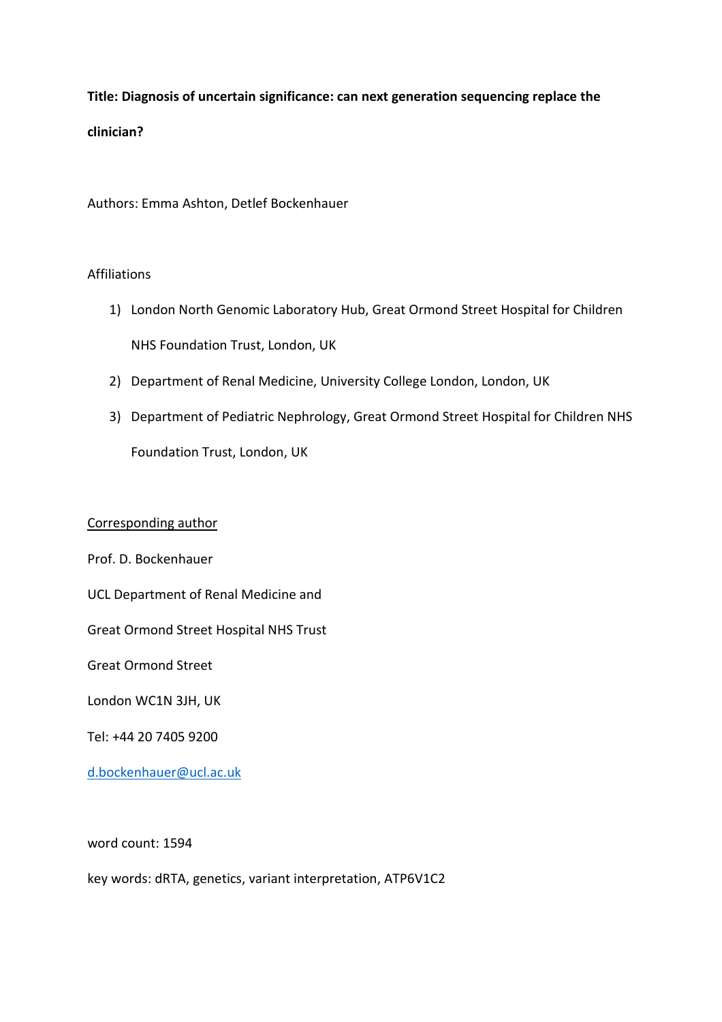**Title: Diagnosis of uncertain significance: can next generation sequencing replace the clinician?**

Authors: Emma Ashton, Detlef Bockenhauer

## Affiliations

- 1) London North Genomic Laboratory Hub, Great Ormond Street Hospital for Children NHS Foundation Trust, London, UK
- 2) Department of Renal Medicine, University College London, London, UK
- 3) Department of Pediatric Nephrology, Great Ormond Street Hospital for Children NHS Foundation Trust, London, UK

## Corresponding author

Prof. D. Bockenhauer

UCL Department of Renal Medicine and

Great Ormond Street Hospital NHS Trust

Great Ormond Street

London WC1N 3JH, UK

Tel: +44 20 7405 9200

[d.bockenhauer@ucl.ac.uk](mailto:d.bockenhauer@ucl.ac.uk)

word count: 1594

key words: dRTA, genetics, variant interpretation, ATP6V1C2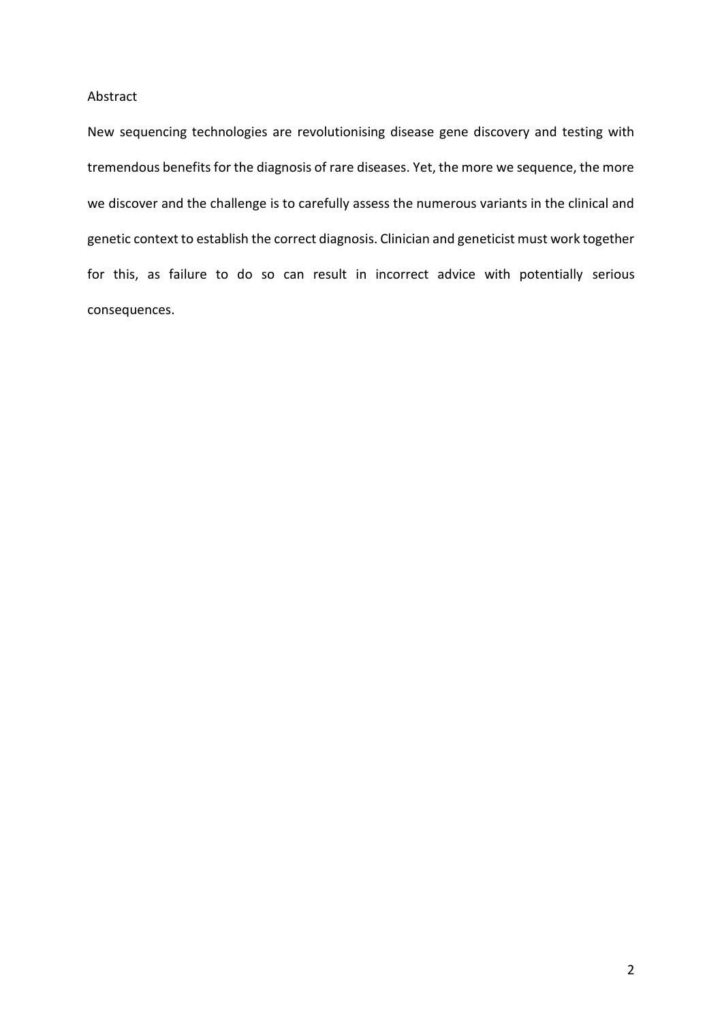## Abstract

New sequencing technologies are revolutionising disease gene discovery and testing with tremendous benefits for the diagnosis of rare diseases. Yet, the more we sequence, the more we discover and the challenge is to carefully assess the numerous variants in the clinical and genetic context to establish the correct diagnosis. Clinician and geneticist must work together for this, as failure to do so can result in incorrect advice with potentially serious consequences.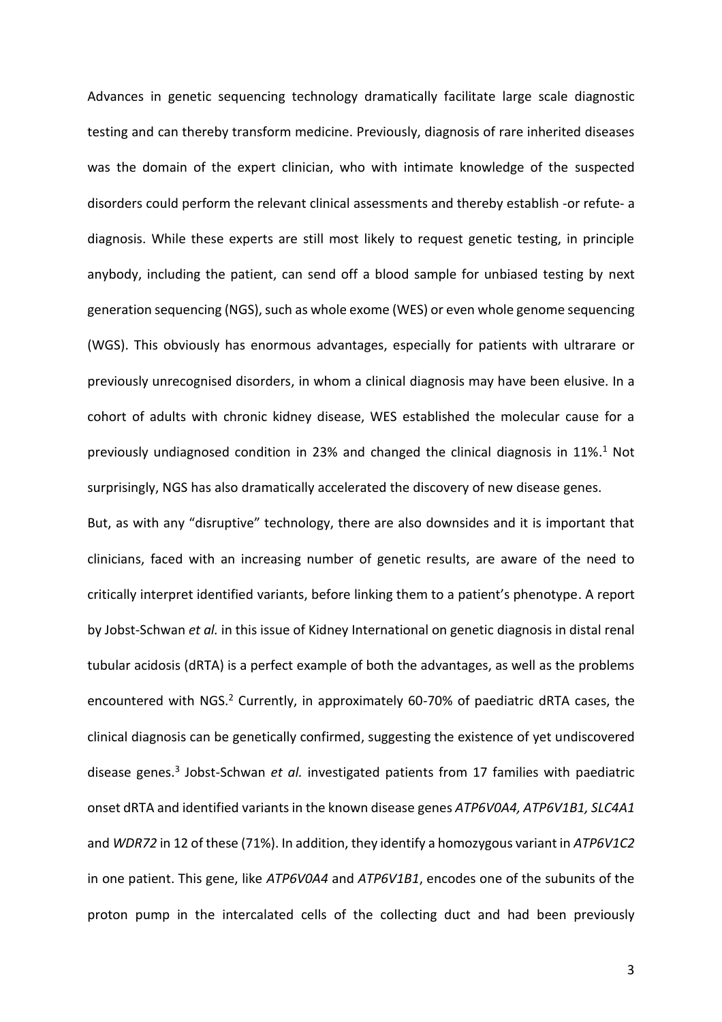Advances in genetic sequencing technology dramatically facilitate large scale diagnostic testing and can thereby transform medicine. Previously, diagnosis of rare inherited diseases was the domain of the expert clinician, who with intimate knowledge of the suspected disorders could perform the relevant clinical assessments and thereby establish -or refute- a diagnosis. While these experts are still most likely to request genetic testing, in principle anybody, including the patient, can send off a blood sample for unbiased testing by next generation sequencing (NGS), such as whole exome (WES) or even whole genome sequencing (WGS). This obviously has enormous advantages, especially for patients with ultrarare or previously unrecognised disorders, in whom a clinical diagnosis may have been elusive. In a cohort of adults with chronic kidney disease, WES established the molecular cause for a previously undiagnosed condition in 23% and changed the clinical diagnosis in 11%.<sup>1</sup> Not surprisingly, NGS has also dramatically accelerated the discovery of new disease genes.

But, as with any "disruptive" technology, there are also downsides and it is important that clinicians, faced with an increasing number of genetic results, are aware of the need to critically interpret identified variants, before linking them to a patient's phenotype. A report by Jobst-Schwan *et al.* in this issue of Kidney International on genetic diagnosis in distal renal tubular acidosis (dRTA) is a perfect example of both the advantages, as well as the problems encountered with NGS.<sup>2</sup> Currently, in approximately 60-70% of paediatric dRTA cases, the clinical diagnosis can be genetically confirmed, suggesting the existence of yet undiscovered disease genes. 3 Jobst-Schwan *et al.* investigated patients from 17 families with paediatric onset dRTA and identified variants in the known disease genes ATP6V0A4, ATP6V1B1, SLC4A1 and *WDR72* in 12 of these (71%). In addition, they identify a homozygous variant in *ATP6V1C2* in one patient. This gene, like *ATP6V0A4* and *ATP6V1B1*, encodes one of the subunits of the proton pump in the intercalated cells of the collecting duct and had been previously

3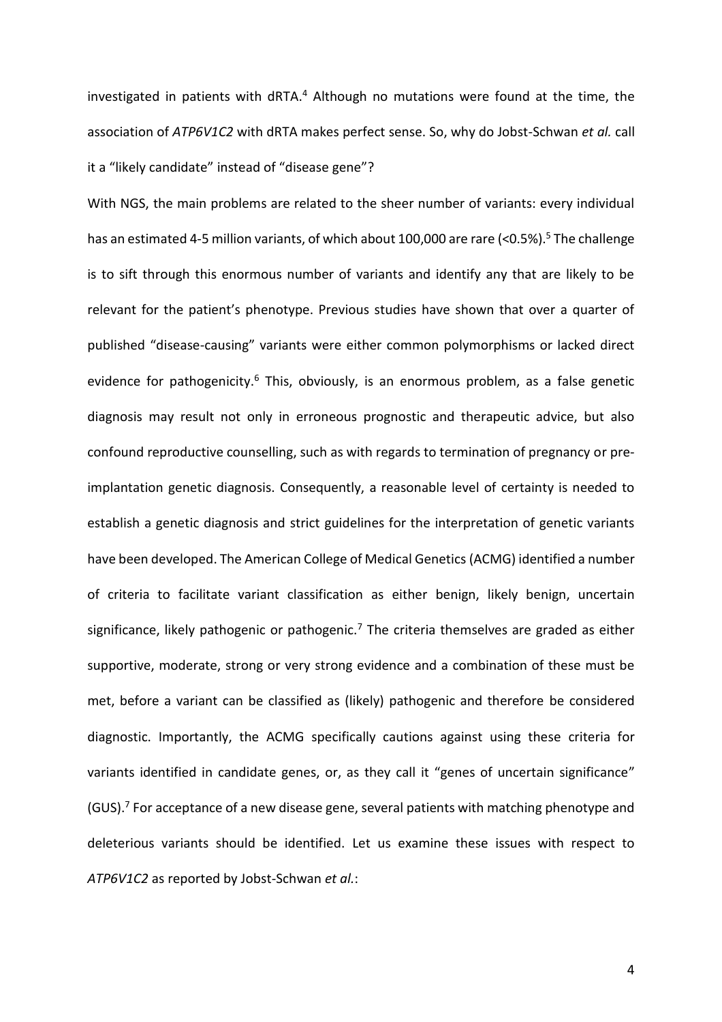investigated in patients with dRTA. <sup>4</sup> Although no mutations were found at the time, the association of *ATP6V1C2* with dRTA makes perfect sense. So, why do Jobst-Schwan *et al.* call it a "likely candidate" instead of "disease gene"?

With NGS, the main problems are related to the sheer number of variants: every individual has an estimated 4-5 million variants, of which about 100,000 are rare (<0.5%). <sup>5</sup> The challenge is to sift through this enormous number of variants and identify any that are likely to be relevant for the patient's phenotype. Previous studies have shown that over a quarter of published "disease-causing" variants were either common polymorphisms or lacked direct evidence for pathogenicity.<sup>6</sup> This, obviously, is an enormous problem, as a false genetic diagnosis may result not only in erroneous prognostic and therapeutic advice, but also confound reproductive counselling, such as with regards to termination of pregnancy or preimplantation genetic diagnosis. Consequently, a reasonable level of certainty is needed to establish a genetic diagnosis and strict guidelines for the interpretation of genetic variants have been developed. The American College of Medical Genetics (ACMG) identified a number of criteria to facilitate variant classification as either benign, likely benign, uncertain significance, likely pathogenic or pathogenic.<sup>7</sup> The criteria themselves are graded as either supportive, moderate, strong or very strong evidence and a combination of these must be met, before a variant can be classified as (likely) pathogenic and therefore be considered diagnostic. Importantly, the ACMG specifically cautions against using these criteria for variants identified in candidate genes, or, as they call it "genes of uncertain significance" (GUS).<sup>7</sup> For acceptance of a new disease gene, several patients with matching phenotype and deleterious variants should be identified. Let us examine these issues with respect to *ATP6V1C2* as reported by Jobst-Schwan *et al.*: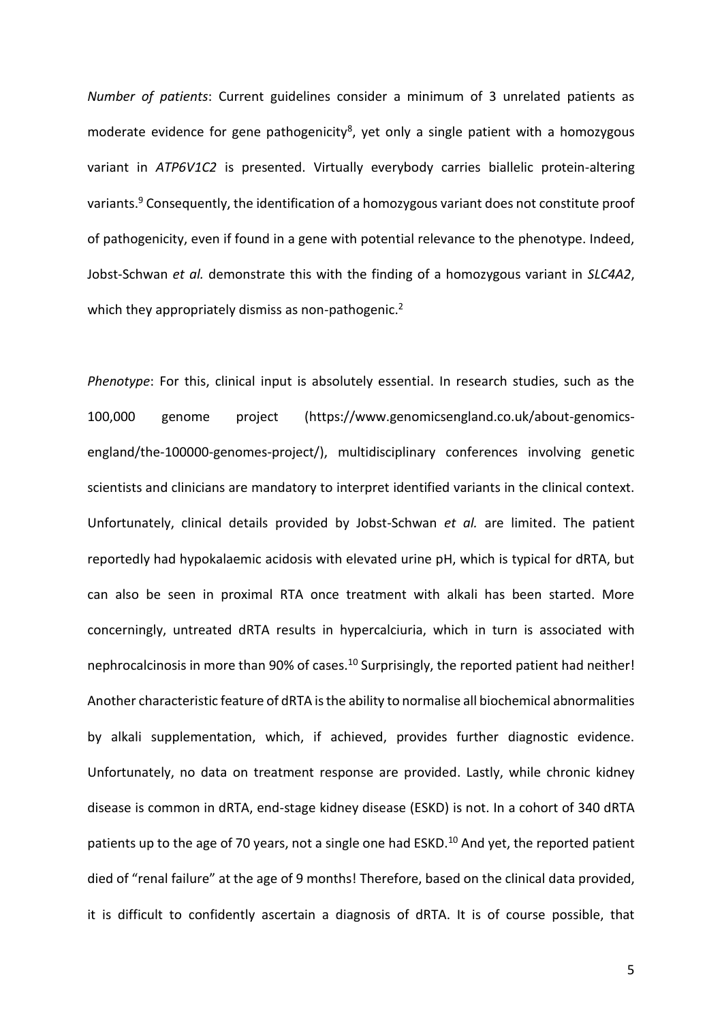*Number of patients*: Current guidelines consider a minimum of 3 unrelated patients as moderate evidence for gene pathogenicity<sup>8</sup>, yet only a single patient with a homozygous variant in *ATP6V1C2* is presented. Virtually everybody carries biallelic protein-altering variants. <sup>9</sup> Consequently, the identification of a homozygous variant does not constitute proof of pathogenicity, even if found in a gene with potential relevance to the phenotype. Indeed, Jobst-Schwan *et al.* demonstrate this with the finding of a homozygous variant in *SLC4A2*, which they appropriately dismiss as non-pathogenic.<sup>2</sup>

*Phenotype*: For this, clinical input is absolutely essential. In research studies, such as the 100,000 genome project (https://www.genomicsengland.co.uk/about-genomicsengland/the-100000-genomes-project/), multidisciplinary conferences involving genetic scientists and clinicians are mandatory to interpret identified variants in the clinical context. Unfortunately, clinical details provided by Jobst-Schwan *et al.* are limited. The patient reportedly had hypokalaemic acidosis with elevated urine pH, which is typical for dRTA, but can also be seen in proximal RTA once treatment with alkali has been started. More concerningly, untreated dRTA results in hypercalciuria, which in turn is associated with nephrocalcinosis in more than 90% of cases.<sup>10</sup> Surprisingly, the reported patient had neither! Another characteristic feature of dRTA is the ability to normalise all biochemical abnormalities by alkali supplementation, which, if achieved, provides further diagnostic evidence. Unfortunately, no data on treatment response are provided. Lastly, while chronic kidney disease is common in dRTA, end-stage kidney disease (ESKD) is not. In a cohort of 340 dRTA patients up to the age of 70 years, not a single one had ESKD.<sup>10</sup> And yet, the reported patient died of "renal failure" at the age of 9 months! Therefore, based on the clinical data provided, it is difficult to confidently ascertain a diagnosis of dRTA. It is of course possible, that

5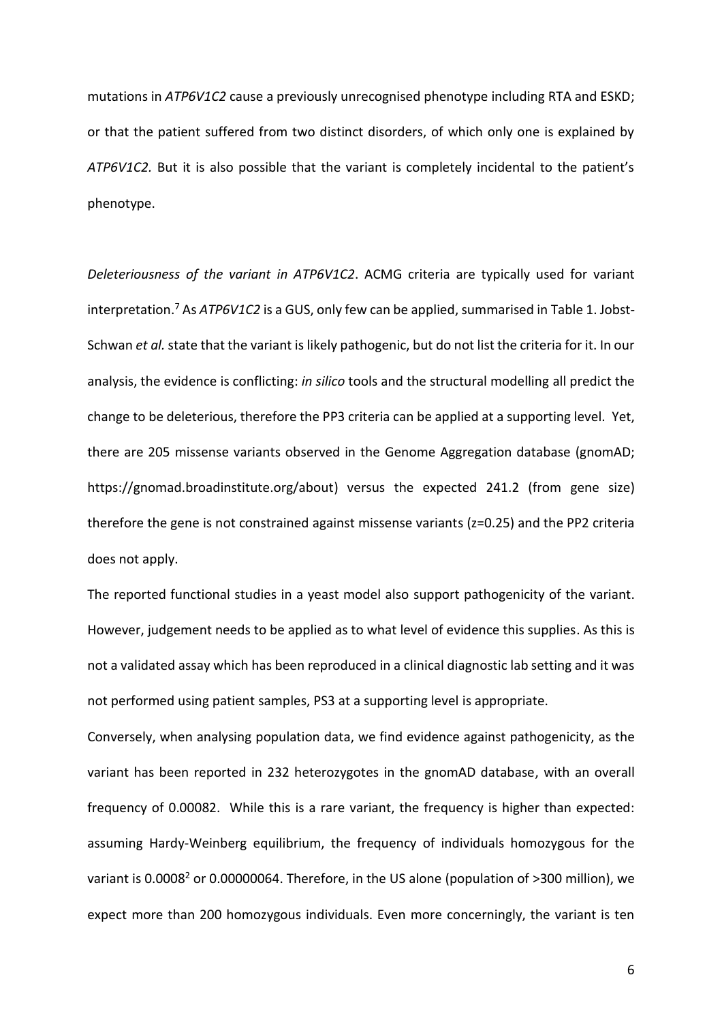mutations in *ATP6V1C2* cause a previously unrecognised phenotype including RTA and ESKD; or that the patient suffered from two distinct disorders, of which only one is explained by *ATP6V1C2.* But it is also possible that the variant is completely incidental to the patient's phenotype.

*Deleteriousness of the variant in ATP6V1C2*. ACMG criteria are typically used for variant interpretation. <sup>7</sup> As *ATP6V1C2* is a GUS, only few can be applied,summarised in Table 1. Jobst-Schwan *et al.* state that the variant is likely pathogenic, but do not list the criteria for it. In our analysis, the evidence is conflicting: *in silico* tools and the structural modelling all predict the change to be deleterious, therefore the PP3 criteria can be applied at a supporting level. Yet, there are 205 missense variants observed in the Genome Aggregation database (gnomAD; https://gnomad.broadinstitute.org/about) versus the expected 241.2 (from gene size) therefore the gene is not constrained against missense variants (z=0.25) and the PP2 criteria does not apply.

The reported functional studies in a yeast model also support pathogenicity of the variant. However, judgement needs to be applied as to what level of evidence this supplies. As this is not a validated assay which has been reproduced in a clinical diagnostic lab setting and it was not performed using patient samples, PS3 at a supporting level is appropriate.

Conversely, when analysing population data, we find evidence against pathogenicity, as the variant has been reported in 232 heterozygotes in the gnomAD database, with an overall frequency of 0.00082. While this is a rare variant, the frequency is higher than expected: assuming Hardy-Weinberg equilibrium, the frequency of individuals homozygous for the variant is 0.0008<sup>2</sup> or 0.00000064. Therefore, in the US alone (population of >300 million), we expect more than 200 homozygous individuals. Even more concerningly, the variant is ten

6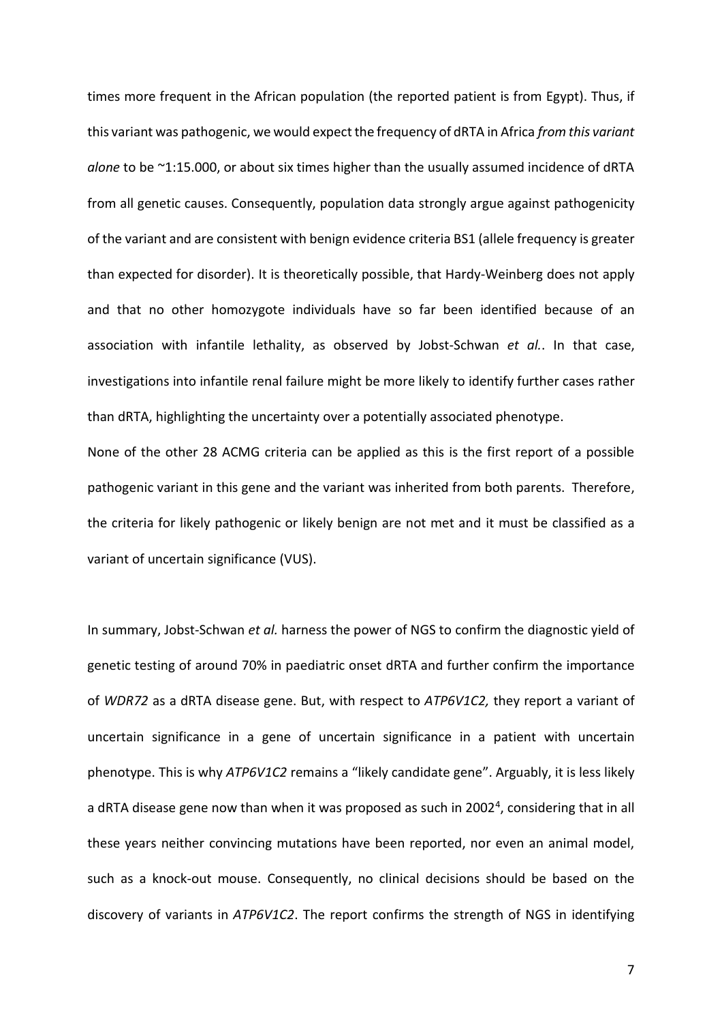times more frequent in the African population (the reported patient is from Egypt). Thus, if this variant was pathogenic, we would expect the frequency of dRTA in Africa *from this variant alone* to be ~1:15.000, or about six times higher than the usually assumed incidence of dRTA from all genetic causes. Consequently, population data strongly argue against pathogenicity of the variant and are consistent with benign evidence criteria BS1 (allele frequency is greater than expected for disorder). It is theoretically possible, that Hardy-Weinberg does not apply and that no other homozygote individuals have so far been identified because of an association with infantile lethality, as observed by Jobst-Schwan *et al.*. In that case, investigations into infantile renal failure might be more likely to identify further cases rather than dRTA, highlighting the uncertainty over a potentially associated phenotype.

None of the other 28 ACMG criteria can be applied as this is the first report of a possible pathogenic variant in this gene and the variant was inherited from both parents. Therefore, the criteria for likely pathogenic or likely benign are not met and it must be classified as a variant of uncertain significance (VUS).

In summary, Jobst-Schwan *et al.* harness the power of NGS to confirm the diagnostic yield of genetic testing of around 70% in paediatric onset dRTA and further confirm the importance of *WDR72* as a dRTA disease gene. But, with respect to *ATP6V1C2,* they report a variant of uncertain significance in a gene of uncertain significance in a patient with uncertain phenotype. This is why *ATP6V1C2* remains a "likely candidate gene". Arguably, it is less likely a dRTA disease gene now than when it was proposed as such in 2002<sup>4</sup>, considering that in all these years neither convincing mutations have been reported, nor even an animal model, such as a knock-out mouse. Consequently, no clinical decisions should be based on the discovery of variants in *ATP6V1C2*. The report confirms the strength of NGS in identifying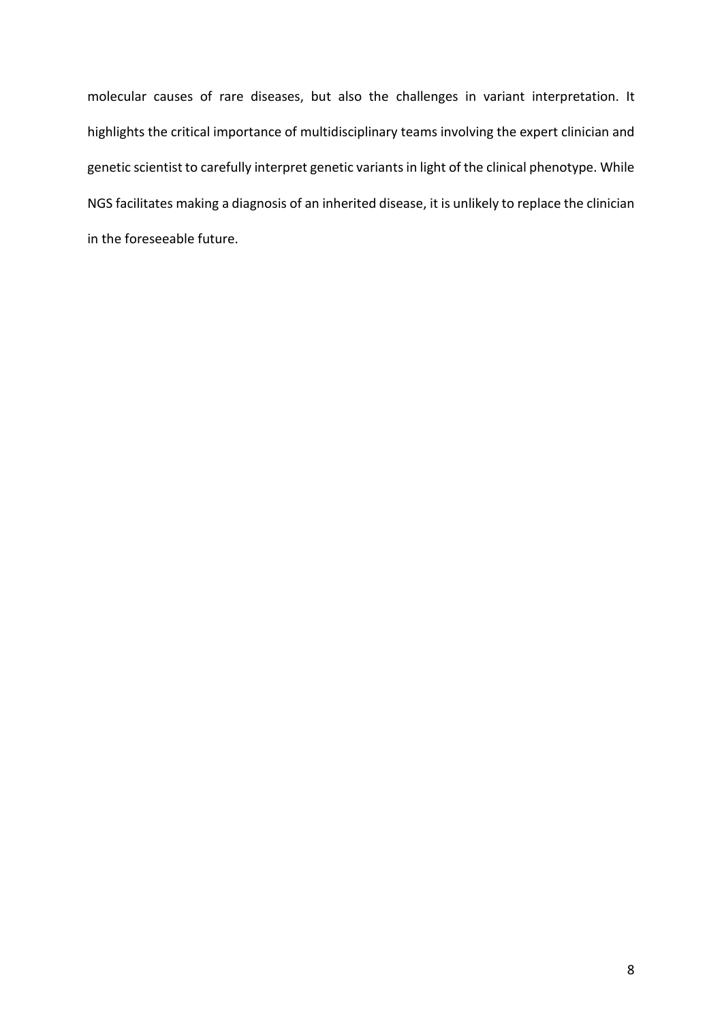molecular causes of rare diseases, but also the challenges in variant interpretation. It highlights the critical importance of multidisciplinary teams involving the expert clinician and genetic scientist to carefully interpret genetic variants in light of the clinical phenotype. While NGS facilitates making a diagnosis of an inherited disease, it is unlikely to replace the clinician in the foreseeable future.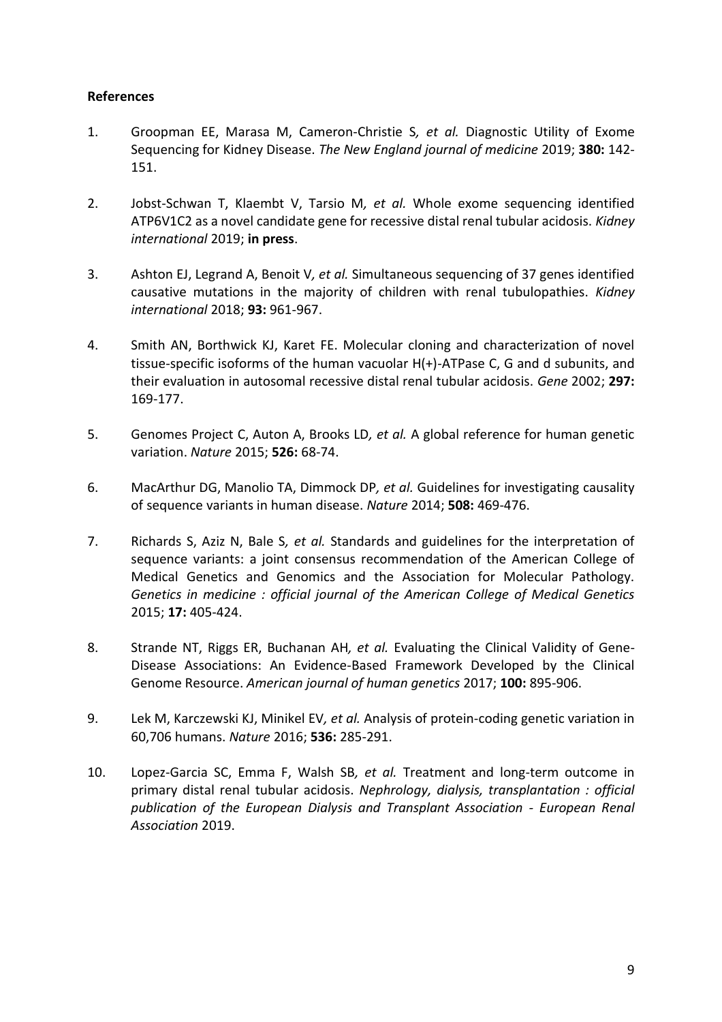## **References**

- 1. Groopman EE, Marasa M, Cameron-Christie S*, et al.* Diagnostic Utility of Exome Sequencing for Kidney Disease. *The New England journal of medicine* 2019; **380:** 142- 151.
- 2. Jobst-Schwan T, Klaembt V, Tarsio M*, et al.* Whole exome sequencing identified ATP6V1C2 as a novel candidate gene for recessive distal renal tubular acidosis. *Kidney international* 2019; **in press**.
- 3. Ashton EJ, Legrand A, Benoit V*, et al.* Simultaneous sequencing of 37 genes identified causative mutations in the majority of children with renal tubulopathies. *Kidney international* 2018; **93:** 961-967.
- 4. Smith AN, Borthwick KJ, Karet FE. Molecular cloning and characterization of novel tissue-specific isoforms of the human vacuolar H(+)-ATPase C, G and d subunits, and their evaluation in autosomal recessive distal renal tubular acidosis. *Gene* 2002; **297:**  169-177.
- 5. Genomes Project C, Auton A, Brooks LD*, et al.* A global reference for human genetic variation. *Nature* 2015; **526:** 68-74.
- 6. MacArthur DG, Manolio TA, Dimmock DP*, et al.* Guidelines for investigating causality of sequence variants in human disease. *Nature* 2014; **508:** 469-476.
- 7. Richards S, Aziz N, Bale S*, et al.* Standards and guidelines for the interpretation of sequence variants: a joint consensus recommendation of the American College of Medical Genetics and Genomics and the Association for Molecular Pathology. *Genetics in medicine : official journal of the American College of Medical Genetics* 2015; **17:** 405-424.
- 8. Strande NT, Riggs ER, Buchanan AH*, et al.* Evaluating the Clinical Validity of Gene-Disease Associations: An Evidence-Based Framework Developed by the Clinical Genome Resource. *American journal of human genetics* 2017; **100:** 895-906.
- 9. Lek M, Karczewski KJ, Minikel EV*, et al.* Analysis of protein-coding genetic variation in 60,706 humans. *Nature* 2016; **536:** 285-291.
- 10. Lopez-Garcia SC, Emma F, Walsh SB*, et al.* Treatment and long-term outcome in primary distal renal tubular acidosis. *Nephrology, dialysis, transplantation : official publication of the European Dialysis and Transplant Association - European Renal Association* 2019.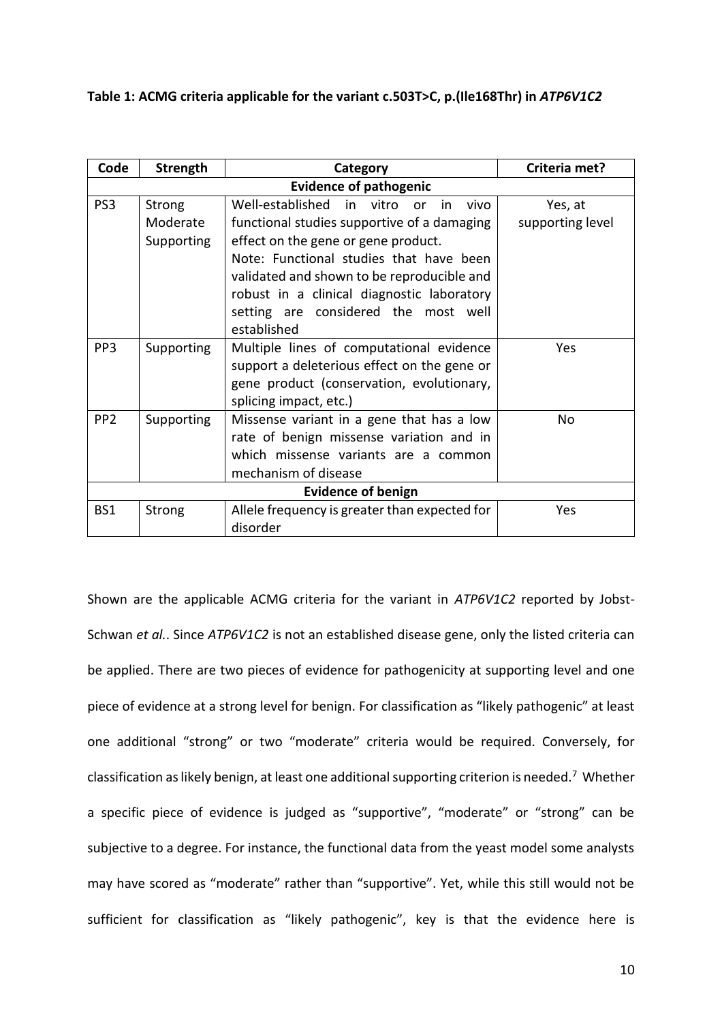**Table 1: ACMG criteria applicable for the variant c.503T>C, p.(Ile168Thr) in** *ATP6V1C2*

| Code                          | <b>Strength</b>                         | Category                                                                                                                                                                                                                                                                                                                              | Criteria met?               |
|-------------------------------|-----------------------------------------|---------------------------------------------------------------------------------------------------------------------------------------------------------------------------------------------------------------------------------------------------------------------------------------------------------------------------------------|-----------------------------|
| <b>Evidence of pathogenic</b> |                                         |                                                                                                                                                                                                                                                                                                                                       |                             |
| PS <sub>3</sub>               | <b>Strong</b><br>Moderate<br>Supporting | Well-established in<br>vitro<br>vivo<br>in.<br>or<br>functional studies supportive of a damaging<br>effect on the gene or gene product.<br>Note: Functional studies that have been<br>validated and shown to be reproducible and<br>robust in a clinical diagnostic laboratory<br>setting are considered the most well<br>established | Yes, at<br>supporting level |
| PP <sub>3</sub>               | Supporting                              | Multiple lines of computational evidence<br>support a deleterious effect on the gene or<br>gene product (conservation, evolutionary,<br>splicing impact, etc.)                                                                                                                                                                        | Yes                         |
| PP <sub>2</sub>               | Supporting                              | Missense variant in a gene that has a low<br>rate of benign missense variation and in<br>which missense variants are a common<br>mechanism of disease                                                                                                                                                                                 | No                          |
| <b>Evidence of benign</b>     |                                         |                                                                                                                                                                                                                                                                                                                                       |                             |
| BS1                           | Strong                                  | Allele frequency is greater than expected for<br>disorder                                                                                                                                                                                                                                                                             | Yes                         |

Shown are the applicable ACMG criteria for the variant in *ATP6V1C2* reported by Jobst-Schwan *et al.*. Since *ATP6V1C2* is not an established disease gene, only the listed criteria can be applied. There are two pieces of evidence for pathogenicity at supporting level and one piece of evidence at a strong level for benign. For classification as "likely pathogenic" at least one additional "strong" or two "moderate" criteria would be required. Conversely, for classification as likely benign, at least one additional supporting criterion is needed.<sup>7</sup> Whether a specific piece of evidence is judged as "supportive", "moderate" or "strong" can be subjective to a degree. For instance, the functional data from the yeast model some analysts may have scored as "moderate" rather than "supportive". Yet, while this still would not be sufficient for classification as "likely pathogenic", key is that the evidence here is